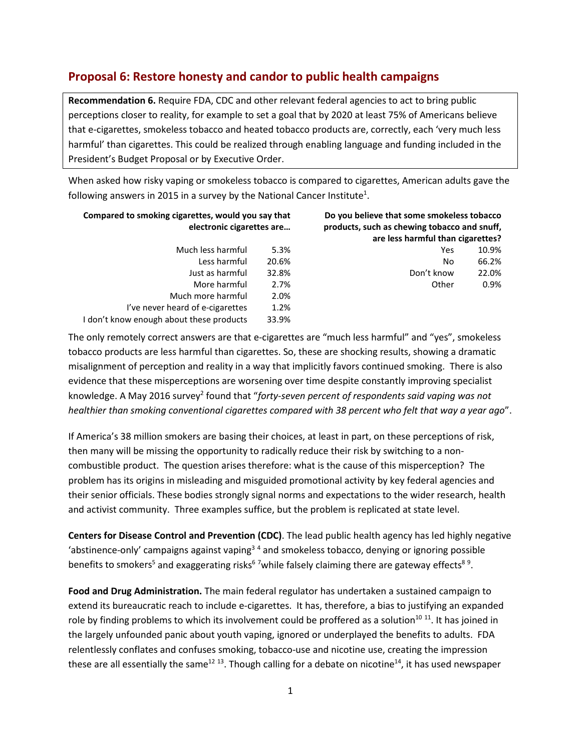## **Proposal 6: Restore honesty and candor to public health campaigns**

**Recommendation 6.** Require FDA, CDC and other relevant federal agencies to act to bring public perceptions closer to reality, for example to set a goal that by 2020 at least 75% of Americans believe that e-cigarettes, smokeless tobacco and heated tobacco products are, correctly, each 'very much less harmful' than cigarettes. This could be realized through enabling language and funding included in the President's Budget Proposal or by Executive Order.

When asked how risky vaping or smokeless tobacco is compared to cigarettes, American adults gave the following answers in 2015 in a survey by the National Cancer Institute<sup>1</sup>.

| Do you believe that some smokeless tobacco<br>products, such as chewing tobacco and snuff, | Compared to smoking cigarettes, would you say that<br>electronic cigarettes are |                                          |
|--------------------------------------------------------------------------------------------|---------------------------------------------------------------------------------|------------------------------------------|
| are less harmful than cigarettes?                                                          |                                                                                 |                                          |
| 10.9%<br>Yes                                                                               | 5.3%                                                                            | Much less harmful                        |
| 66.2%<br>No                                                                                | 20.6%                                                                           | Less harmful                             |
| Don't know<br>22.0%                                                                        | 32.8%                                                                           | Just as harmful                          |
| 0.9%<br>Other                                                                              | 2.7%                                                                            | More harmful                             |
|                                                                                            | 2.0%                                                                            | Much more harmful                        |
|                                                                                            | 1.2%                                                                            | I've never heard of e-cigarettes         |
|                                                                                            | 33.9%                                                                           | I don't know enough about these products |

The only remotely correct answers are that e-cigarettes are "much less harmful" and "yes", smokeless tobacco products are less harmful than cigarettes. So, these are shocking results, showing a dramatic misalignment of perception and reality in a way that implicitly favors continued smoking. There is also evidence that these misperceptions are worsening over time despite constantly improving specialist knowledge. A May 2016 survey<sup>2</sup> found that "forty-seven percent of respondents said vaping was not *healthier than smoking conventional cigarettes compared with 38 percent who felt that way a year ago*".

If America's 38 million smokers are basing their choices, at least in part, on these perceptions of risk, then many will be missing the opportunity to radically reduce their risk by switching to a noncombustible product. The question arises therefore: what is the cause of this misperception? The problem has its origins in misleading and misguided promotional activity by key federal agencies and their senior officials. These bodies strongly signal norms and expectations to the wider research, health and activist community. Three examples suffice, but the problem is replicated at state level.

**Centers for Disease Control and Prevention (CDC)**. The lead public health agency has led highly negative 'abstinence-only' campaigns against vaping<sup>34</sup> and smokeless tobacco, denying or ignoring possible benefits to smokers<sup>5</sup> and exaggerating risks<sup>67</sup>while falsely claiming there are gateway effects<sup>89</sup>.

**Food and Drug Administration.** The main federal regulator has undertaken a sustained campaign to extend its bureaucratic reach to include e-cigarettes. It has, therefore, a bias to justifying an expanded role by finding problems to which its involvement could be proffered as a solution<sup>10 11</sup>. It has joined in the largely unfounded panic about youth vaping, ignored or underplayed the benefits to adults. FDA relentlessly conflates and confuses smoking, tobacco-use and nicotine use, creating the impression these are all essentially the same<sup>12 13</sup>. Though calling for a debate on nicotine<sup>14</sup>, it has used newspaper